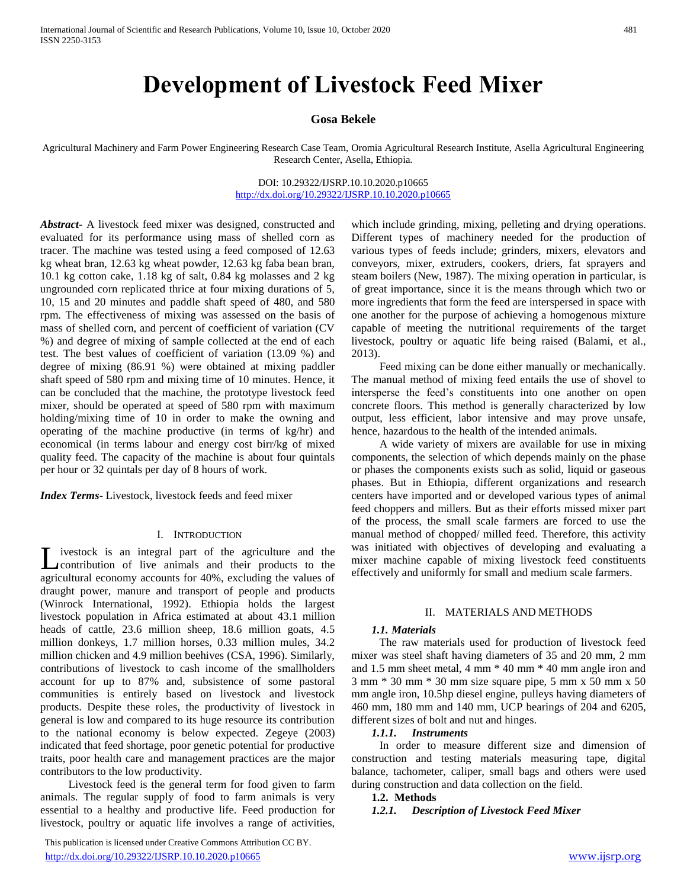# **Development of Livestock Feed Mixer**

# **Gosa Bekele**

Agricultural Machinery and Farm Power Engineering Research Case Team, Oromia Agricultural Research Institute, Asella Agricultural Engineering Research Center, Asella, Ethiopia.

> DOI: 10.29322/IJSRP.10.10.2020.p10665 <http://dx.doi.org/10.29322/IJSRP.10.10.2020.p10665>

*Abstract***-** A livestock feed mixer was designed, constructed and evaluated for its performance using mass of shelled corn as tracer. The machine was tested using a feed composed of 12.63 kg wheat bran, 12.63 kg wheat powder, 12.63 kg faba bean bran, 10.1 kg cotton cake, 1.18 kg of salt, 0.84 kg molasses and 2 kg ungrounded corn replicated thrice at four mixing durations of 5, 10, 15 and 20 minutes and paddle shaft speed of 480, and 580 rpm. The effectiveness of mixing was assessed on the basis of mass of shelled corn, and percent of coefficient of variation (CV %) and degree of mixing of sample collected at the end of each test. The best values of coefficient of variation (13.09 %) and degree of mixing (86.91 %) were obtained at mixing paddler shaft speed of 580 rpm and mixing time of 10 minutes. Hence, it can be concluded that the machine, the prototype livestock feed mixer, should be operated at speed of 580 rpm with maximum holding/mixing time of 10 in order to make the owning and operating of the machine productive (in terms of kg/hr) and economical (in terms labour and energy cost birr/kg of mixed quality feed. The capacity of the machine is about four quintals per hour or 32 quintals per day of 8 hours of work.

*Index Terms*- Livestock, livestock feeds and feed mixer

### I. INTRODUCTION

ivestock is an integral part of the agriculture and the Livestock is an integral part of the agriculture and the<br>contribution of live animals and their products to the agricultural economy accounts for 40%, excluding the values of draught power, manure and transport of people and products (Winrock International, 1992). Ethiopia holds the largest livestock population in Africa estimated at about 43.1 million heads of cattle, 23.6 million sheep, 18.6 million goats, 4.5 million donkeys, 1.7 million horses, 0.33 million mules, 34.2 million chicken and 4.9 million beehives (CSA, 1996). Similarly, contributions of livestock to cash income of the smallholders account for up to 87% and, subsistence of some pastoral communities is entirely based on livestock and livestock products. Despite these roles, the productivity of livestock in general is low and compared to its huge resource its contribution to the national economy is below expected. Zegeye (2003) indicated that feed shortage, poor genetic potential for productive traits, poor health care and management practices are the major contributors to the low productivity.

 Livestock feed is the general term for food given to farm animals. The regular supply of food to farm animals is very essential to a healthy and productive life. Feed production for livestock, poultry or aquatic life involves a range of activities,

 This publication is licensed under Creative Commons Attribution CC BY. <http://dx.doi.org/10.29322/IJSRP.10.10.2020.p10665> [www.ijsrp.org](http://ijsrp.org/)

which include grinding, mixing, pelleting and drying operations. Different types of machinery needed for the production of various types of feeds include; grinders, mixers, elevators and conveyors, mixer, extruders, cookers, driers, fat sprayers and steam boilers (New, 1987). The mixing operation in particular, is of great importance, since it is the means through which two or more ingredients that form the feed are interspersed in space with one another for the purpose of achieving a homogenous mixture capable of meeting the nutritional requirements of the target livestock, poultry or aquatic life being raised (Balami, et al., 2013).

 Feed mixing can be done either manually or mechanically. The manual method of mixing feed entails the use of shovel to intersperse the feed's constituents into one another on open concrete floors. This method is generally characterized by low output, less efficient, labor intensive and may prove unsafe, hence, hazardous to the health of the intended animals.

 A wide variety of mixers are available for use in mixing components, the selection of which depends mainly on the phase or phases the components exists such as solid, liquid or gaseous phases. But in Ethiopia, different organizations and research centers have imported and or developed various types of animal feed choppers and millers. But as their efforts missed mixer part of the process, the small scale farmers are forced to use the manual method of chopped/ milled feed. Therefore, this activity was initiated with objectives of developing and evaluating a mixer machine capable of mixing livestock feed constituents effectively and uniformly for small and medium scale farmers.

### II. MATERIALS AND METHODS

### *1.1. Materials*

 The raw materials used for production of livestock feed mixer was steel shaft having diameters of 35 and 20 mm, 2 mm and 1.5 mm sheet metal, 4 mm \* 40 mm \* 40 mm angle iron and 3 mm \* 30 mm \* 30 mm size square pipe, 5 mm x 50 mm x 50 mm angle iron, 10.5hp diesel engine, pulleys having diameters of 460 mm, 180 mm and 140 mm, UCP bearings of 204 and 6205, different sizes of bolt and nut and hinges.

### *1.1.1. Instruments*

 In order to measure different size and dimension of construction and testing materials measuring tape, digital balance, tachometer, caliper, small bags and others were used during construction and data collection on the field.

### **1.2. Methods**

*1.2.1. Description of Livestock Feed Mixer*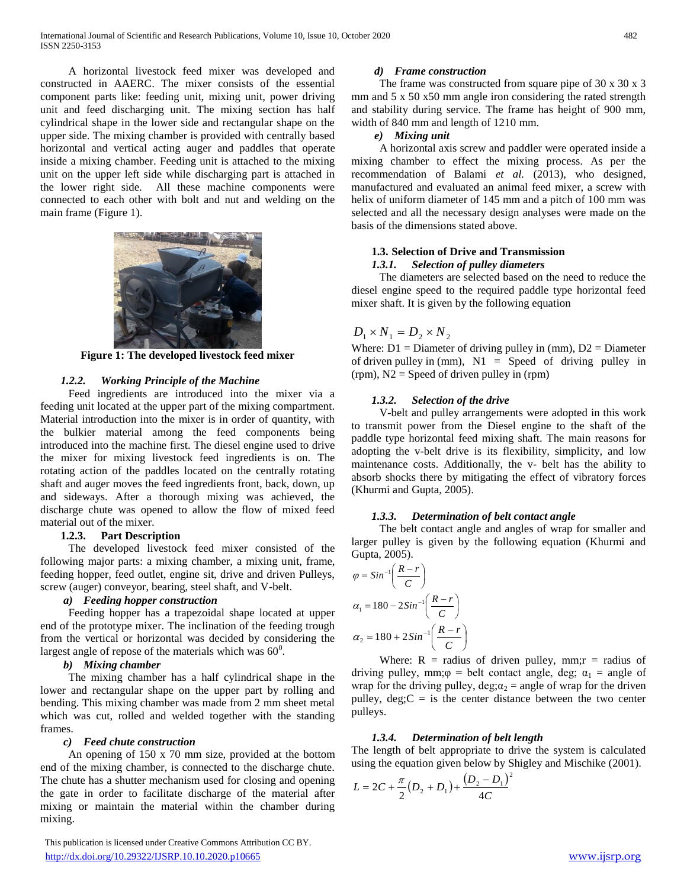A horizontal livestock feed mixer was developed and constructed in AAERC. The mixer consists of the essential component parts like: feeding unit, mixing unit, power driving unit and feed discharging unit. The mixing section has half cylindrical shape in the lower side and rectangular shape on the upper side. The mixing chamber is provided with centrally based horizontal and vertical acting auger and paddles that operate inside a mixing chamber. Feeding unit is attached to the mixing unit on the upper left side while discharging part is attached in the lower right side. All these machine components were connected to each other with bolt and nut and welding on the main frame (Figure 1).



**Figure 1: The developed livestock feed mixer**

# *1.2.2. Working Principle of the Machine*

 Feed ingredients are introduced into the mixer via a feeding unit located at the upper part of the mixing compartment. Material introduction into the mixer is in order of quantity, with the bulkier material among the feed components being introduced into the machine first. The diesel engine used to drive the mixer for mixing livestock feed ingredients is on. The rotating action of the paddles located on the centrally rotating shaft and auger moves the feed ingredients front, back, down, up and sideways. After a thorough mixing was achieved, the discharge chute was opened to allow the flow of mixed feed material out of the mixer.

# **1.2.3. Part Description**

 The developed livestock feed mixer consisted of the following major parts: a mixing chamber, a mixing unit, frame, feeding hopper, feed outlet, engine sit, drive and driven Pulleys, screw (auger) conveyor, bearing, steel shaft, and V-belt.

# *a) Feeding hopper construction*

 Feeding hopper has a trapezoidal shape located at upper end of the prototype mixer. The inclination of the feeding trough from the vertical or horizontal was decided by considering the largest angle of repose of the materials which was  $60^0$ .

# *b) Mixing chamber*

 The mixing chamber has a half cylindrical shape in the lower and rectangular shape on the upper part by rolling and bending. This mixing chamber was made from 2 mm sheet metal which was cut, rolled and welded together with the standing frames.

# *c) Feed chute construction*

 An opening of 150 x 70 mm size, provided at the bottom end of the mixing chamber, is connected to the discharge chute. The chute has a shutter mechanism used for closing and opening the gate in order to facilitate discharge of the material after mixing or maintain the material within the chamber during mixing.

 This publication is licensed under Creative Commons Attribution CC BY. <http://dx.doi.org/10.29322/IJSRP.10.10.2020.p10665> [www.ijsrp.org](http://ijsrp.org/)

# *d) Frame construction*

The frame was constructed from square pipe of 30 x 30 x 3 mm and 5 x 50 x50 mm angle iron considering the rated strength and stability during service. The frame has height of 900 mm, width of 840 mm and length of 1210 mm.

# *e) Mixing unit*

 A horizontal axis screw and paddler were operated inside a mixing chamber to effect the mixing process. As per the recommendation of Balami *et al.* (2013), who designed, manufactured and evaluated an animal feed mixer, a screw with helix of uniform diameter of 145 mm and a pitch of 100 mm was selected and all the necessary design analyses were made on the basis of the dimensions stated above.

# **1.3. Selection of Drive and Transmission** *1.3.1. Selection of pulley diameters*

 The diameters are selected based on the need to reduce the diesel engine speed to the required paddle type horizontal feed mixer shaft. It is given by the following equation

# $D_1 \times N_1 = D_2 \times N_2$

Where:  $D1 =$  Diameter of driving pulley in (mm),  $D2 =$  Diameter of driven pulley in (mm),  $N1 =$  Speed of driving pulley in (rpm), N2 = Speed of driven pulley in (rpm)

# *1.3.2. Selection of the drive*

 V-belt and pulley arrangements were adopted in this work to transmit power from the Diesel engine to the shaft of the paddle type horizontal feed mixing shaft. The main reasons for adopting the v-belt drive is its flexibility, simplicity, and low maintenance costs. Additionally, the v- belt has the ability to absorb shocks there by mitigating the effect of vibratory forces (Khurmi and Gupta, 2005).

# *1.3.3. Determination of belt contact angle*

 The belt contact angle and angles of wrap for smaller and larger pulley is given by the following equation (Khurmi and Gupta, 2005).

$$
\varphi = Sin^{-1}\left(\frac{R-r}{C}\right)
$$

$$
\alpha_1 = 180 - 2Sin^{-1}\left(\frac{R-r}{C}\right)
$$

$$
\alpha_2 = 180 + 2Sin^{-1}\left(\frac{R-r}{C}\right)
$$

Where:  $R =$  radius of driven pulley, mm;  $r =$  radius of driving pulley, mm; $\varphi$  = belt contact angle, deg;  $\alpha_1$  = angle of wrap for the driving pulley, deg; $\alpha_2$  = angle of wrap for the driven pulley,  $\text{deg}$ ;  $C =$  is the center distance between the two center pulleys.

# *1.3.4. Determination of belt length*

The length of belt appropriate to drive the system is calculated using the equation given below by Shigley and Mischike (2001).

$$
L = 2C + \frac{\pi}{2}(D_2 + D_1) + \frac{(D_2 - D_1)^2}{4C}
$$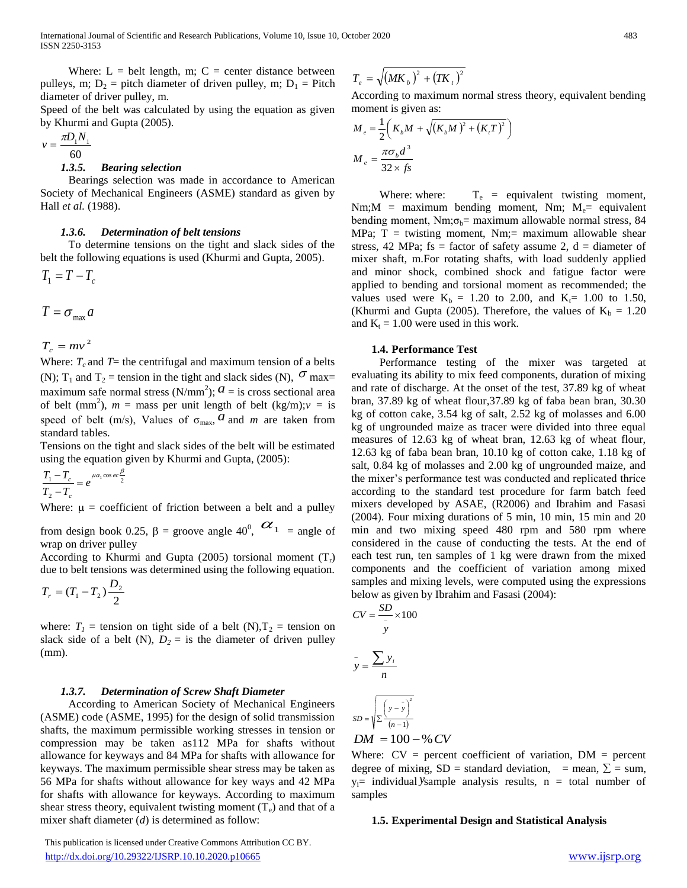Where:  $L = \text{belt length}, m$ ;  $C = \text{center distance between}$ pulleys, m;  $D_2$  = pitch diameter of driven pulley, m;  $D_1$  = Pitch diameter of driver pulley, m.

Speed of the belt was calculated by using the equation as given by Khurmi and Gupta (2005).

$$
v = \frac{\pi D_1 N_1}{60}
$$

### *1.3.5. Bearing selection*

 Bearings selection was made in accordance to American Society of Mechanical Engineers (ASME) standard as given by Hall *et al.* (1988).

### *1.3.6. Determination of belt tensions*

 To determine tensions on the tight and slack sides of the belt the following equations is used (Khurmi and Gupta, 2005).

 $T_1 = T - T_c$ 

$$
T=\sigma_{\max} a
$$

 $T_c = mv^2$ 

Where:  $T_c$  and  $T =$  the centrifugal and maximum tension of a belts (N); T<sub>1</sub> and T<sub>2</sub> = tension in the tight and slack sides (N),  $\sigma$  max= maximum safe normal stress  $(N/mm^2)$ ;  $\alpha$  = is cross sectional area of belt (mm<sup>2</sup>),  $m =$  mass per unit length of belt (kg/m); $v =$  is speed of belt (m/s), Values of  $\sigma_{\text{max}}$ , *a* and *m* are taken from standard tables.

Tensions on the tight and slack sides of the belt will be estimated using the equation given by Khurmi and Gupta, (2005):

$$
\frac{T_1 - T_c}{T_2 - T_c} = e^{\mu \alpha_1 \cos ec \frac{\beta}{2}}
$$

Where:  $\mu$  = coefficient of friction between a belt and a pulley

from design book 0.25,  $\beta$  = groove angle 40<sup>0</sup>,  $\alpha_1$  = angle of wrap on driver pulley

According to Khurmi and Gupta (2005) torsional moment  $(T_r)$ due to belt tensions was determined using the following equation.

$$
T_{r}=(T_{1}-T_{2})\frac{D_{2}}{2}
$$

where:  $T_1$  = tension on tight side of a belt (N),  $T_2$  = tension on slack side of a belt (N),  $D_2 =$  is the diameter of driven pulley (mm).

### *1.3.7. Determination of Screw Shaft Diameter*

 According to American Society of Mechanical Engineers (ASME) code (ASME, 1995) for the design of solid transmission shafts, the maximum permissible working stresses in tension or compression may be taken as112 MPa for shafts without allowance for keyways and 84 MPa for shafts with allowance for keyways. The maximum permissible shear stress may be taken as 56 MPa for shafts without allowance for key ways and 42 MPa for shafts with allowance for keyways. According to maximum shear stress theory, equivalent twisting moment  $(T_e)$  and that of a mixer shaft diameter (*d*) is determined as follow:

 $T_e = \sqrt{(MK_b)^2 + (TK_t)^2}$ 

According to maximum normal stress theory, equivalent bending moment is given as:

$$
M_e = \frac{1}{2} \left( K_b M + \sqrt{(K_b M)^2 + (K_i T)^2} \right)
$$
  

$$
M_e = \frac{\pi \sigma_b d^3}{32 \times fs}
$$

Where: where:  $T_e$  = equivalent twisting moment, Nm;  $M =$  maximum bending moment, Nm;  $M_e =$  equivalent bending moment, Nm; $\sigma_b$ = maximum allowable normal stress, 84 MPa;  $T =$  twisting moment, Nm;= maximum allowable shear stress, 42 MPa; fs = factor of safety assume 2,  $d =$  diameter of mixer shaft, m.For rotating shafts, with load suddenly applied and minor shock, combined shock and fatigue factor were applied to bending and torsional moment as recommended; the values used were  $K_b = 1.20$  to 2.00, and  $K_f = 1.00$  to 1.50, (Khurmi and Gupta (2005). Therefore, the values of  $K_b = 1.20$ and  $K_t = 1.00$  were used in this work.

### **1.4. Performance Test**

 Performance testing of the mixer was targeted at evaluating its ability to mix feed components, duration of mixing and rate of discharge. At the onset of the test, 37.89 kg of wheat bran, 37.89 kg of wheat flour,37.89 kg of faba bean bran, 30.30 kg of cotton cake, 3.54 kg of salt, 2.52 kg of molasses and 6.00 kg of ungrounded maize as tracer were divided into three equal measures of 12.63 kg of wheat bran, 12.63 kg of wheat flour, 12.63 kg of faba bean bran, 10.10 kg of cotton cake, 1.18 kg of salt, 0.84 kg of molasses and 2.00 kg of ungrounded maize, and the mixer's performance test was conducted and replicated thrice according to the standard test procedure for farm batch feed mixers developed by ASAE, (R2006) and Ibrahim and Fasasi (2004). Four mixing durations of 5 min, 10 min, 15 min and 20 min and two mixing speed 480 rpm and 580 rpm where considered in the cause of conducting the tests. At the end of each test run, ten samples of 1 kg were drawn from the mixed components and the coefficient of variation among mixed samples and mixing levels, were computed using the expressions below as given by Ibrahim and Fasasi (2004):

$$
CV = \frac{SD}{y} \times 100
$$
  

$$
y = \frac{\sum y_i}{n}
$$
  

$$
SD = \sqrt{\sum (y - \bar{y})^2}
$$
  

$$
SD = \sqrt{\sum (y - \bar{y})^2}
$$

 $DM = 100 - %CV$ 

Where:  $CV = percent coefficient of variation, DM = percent$ degree of mixing, SD = standard deviation, = mean,  $\Sigma$  = sum,  $y_i$ = individual *y*sample analysis results,  $n =$  total number of samples

### **1.5. Experimental Design and Statistical Analysis**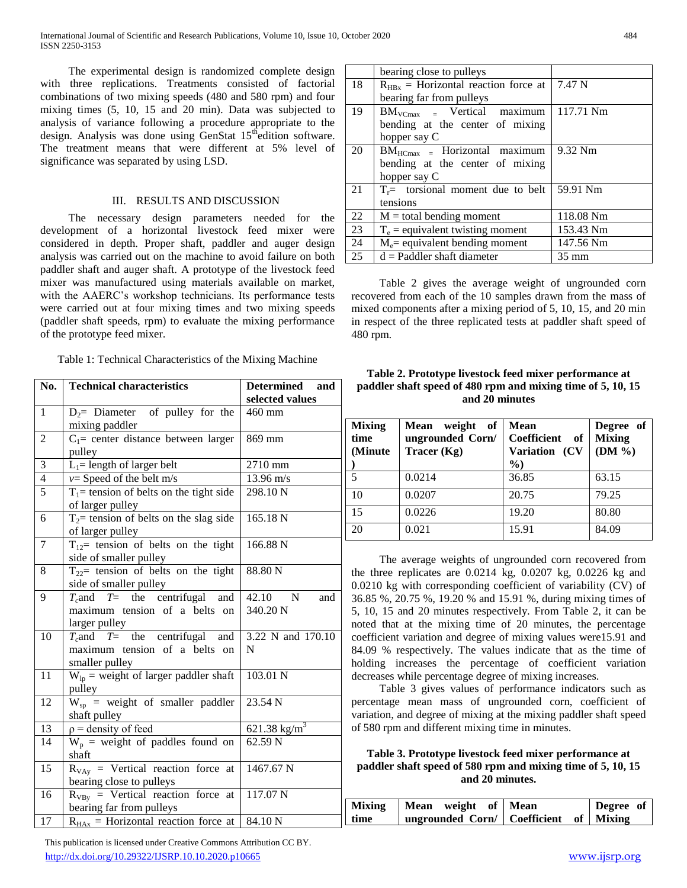The experimental design is randomized complete design with three replications. Treatments consisted of factorial combinations of two mixing speeds (480 and 580 rpm) and four mixing times (5, 10, 15 and 20 min). Data was subjected to analysis of variance following a procedure appropriate to the design. Analysis was done using GenStat 15<sup>th</sup>edition software. The treatment means that were different at 5% level of significance was separated by using LSD.

# III. RESULTS AND DISCUSSION

 The necessary design parameters needed for the development of a horizontal livestock feed mixer were considered in depth. Proper shaft, paddler and auger design analysis was carried out on the machine to avoid failure on both paddler shaft and auger shaft. A prototype of the livestock feed mixer was manufactured using materials available on market, with the AAERC's workshop technicians. Its performance tests were carried out at four mixing times and two mixing speeds (paddler shaft speeds, rpm) to evaluate the mixing performance of the prototype feed mixer.

| No.             | <b>Technical characteristics</b>                                                         | <b>Determined</b><br>and<br>selected values |  |  |
|-----------------|------------------------------------------------------------------------------------------|---------------------------------------------|--|--|
| $\mathbf{1}$    | $D_2$ = Diameter of pulley for the<br>mixing paddler                                     | 460 mm                                      |  |  |
| $\overline{2}$  | $C_1$ = center distance between larger<br>pulley                                         | 869 mm                                      |  |  |
| 3               | $L_1$ = length of larger belt                                                            | 2710 mm                                     |  |  |
| $\overline{4}$  | $v=$ Speed of the belt m/s                                                               | $13.96 \text{ m/s}$                         |  |  |
| $\overline{5}$  | $T_1$ = tension of belts on the tight side<br>of larger pulley                           | 298.10 <sub>N</sub>                         |  |  |
| 6               | $T_2$ tension of belts on the slag side<br>of larger pulley                              | 165.18 N                                    |  |  |
| $\overline{7}$  | $T_{12}$ tension of belts on the tight<br>side of smaller pulley                         | 166.88 N                                    |  |  |
| 8               | $T_{22}$ tension of belts on the tight<br>side of smaller pulley                         | 88.80 N                                     |  |  |
| 9               | $T_c$ and $T_c$ the centrifugal<br>and<br>maximum tension of a belts on<br>larger pulley | 42.10<br>N<br>and<br>340.20 N               |  |  |
| 10              | $T_c$ and $T_c$ the centrifugal and<br>maximum tension of a belts on<br>smaller pulley   | 3.22 N and 170.10<br>N                      |  |  |
| $\overline{11}$ | $W_{lp}$ = weight of larger paddler shaft<br>pulley                                      | 103.01 N                                    |  |  |
| 12              | $W_{sp}$ = weight of smaller paddler<br>shaft pulley                                     | 23.54 N                                     |  |  |
| 13              | $\rho$ = density of feed                                                                 | $621.38 \text{ kg/m}^3$                     |  |  |
| 14              | $W_p$ = weight of paddles found on<br>shaft                                              | 62.59 N                                     |  |  |
| 15              | $R_{VAy}$ = Vertical reaction force at<br>bearing close to pulleys                       | 1467.67 N                                   |  |  |
| 16              | $R_{VBy}$ = Vertical reaction force at<br>bearing far from pulleys                       | 117.07 N                                    |  |  |
| 17              | $R_{HAx}$ = Horizontal reaction force at                                                 | 84.10 N                                     |  |  |

bearing close to pulleys  $18$  R<sub>HBx</sub> = Horizontal reaction force at bearing far from pulleys 7.47 N  $19$  BM<sub>VCmax</sub> = Vertical maximum bending at the center of mixing hopper say C 117.71 Nm  $20$  | BM $_{\text{HCmax}}$  = Horizontal maximum bending at the center of mixing hopper say C 9.32 Nm 21  $T_r$ = torsional moment due to belt tensions 59.91 Nm  $22 \mid M =$  total bending moment 118.08 Nm 23  $T_e$  = equivalent twisting moment 153.43 Nm 24 |  $M_e$  = equivalent bending moment | 147.56 Nm  $25 \mid d =$  Paddler shaft diameter 35 mm

 Table 2 gives the average weight of ungrounded corn recovered from each of the 10 samples drawn from the mass of mixed components after a mixing period of 5, 10, 15, and 20 min in respect of the three replicated tests at paddler shaft speed of 480 rpm.

| Table 2. Prototype livestock feed mixer performance at      |
|-------------------------------------------------------------|
| paddler shaft speed of 480 rpm and mixing time of 5, 10, 15 |
| and 20 minutes                                              |

| <b>Mixing</b><br>time<br>(Minute) | of<br>weight<br><b>Mean</b><br>ungrounded Corn/<br>Tracer $(Kg)$ | <b>Mean</b><br>Coefficient<br>of<br>Variation (CV<br>$\frac{6}{2}$ | Degree of<br><b>Mixing</b><br>$(DM\% )$ |
|-----------------------------------|------------------------------------------------------------------|--------------------------------------------------------------------|-----------------------------------------|
|                                   | 0.0214                                                           | 36.85                                                              | 63.15                                   |
| 10                                | 0.0207                                                           | 20.75                                                              | 79.25                                   |
| 15                                | 0.0226                                                           | 19.20                                                              | 80.80                                   |
| 20                                | 0.021                                                            | 15.91                                                              | 84.09                                   |

 The average weights of ungrounded corn recovered from the three replicates are 0.0214 kg, 0.0207 kg, 0.0226 kg and 0.0210 kg with corresponding coefficient of variability (CV) of 36.85 %, 20.75 %, 19.20 % and 15.91 %, during mixing times of 5, 10, 15 and 20 minutes respectively. From Table 2, it can be noted that at the mixing time of 20 minutes, the percentage coefficient variation and degree of mixing values were15.91 and 84.09 % respectively. The values indicate that as the time of holding increases the percentage of coefficient variation decreases while percentage degree of mixing increases.

 Table 3 gives values of performance indicators such as percentage mean mass of ungrounded corn, coefficient of variation, and degree of mixing at the mixing paddler shaft speed of 580 rpm and different mixing time in minutes.

**Table 3. Prototype livestock feed mixer performance at paddler shaft speed of 580 rpm and mixing time of 5, 10, 15 and 20 minutes.**

| ion force at $117.07$ N        |               |                                            |  |           |  |
|--------------------------------|---------------|--------------------------------------------|--|-----------|--|
|                                | <b>Mixing</b> | Mean weight of Mean                        |  | Degree of |  |
| ction force at $\vert$ 84.10 N | time          | ungrounded Corn/   Coefficient of   Mixing |  |           |  |
|                                |               |                                            |  |           |  |

 This publication is licensed under Creative Commons Attribution CC BY. <http://dx.doi.org/10.29322/IJSRP.10.10.2020.p10665> [www.ijsrp.org](http://ijsrp.org/)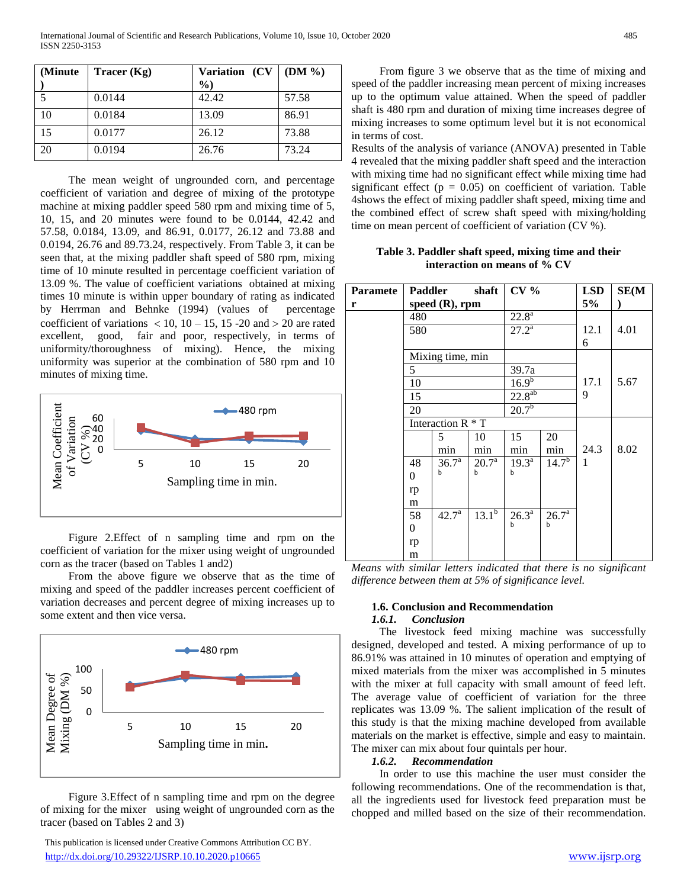| (Minute) | Tracer $(Kg)$ | Variation (CV<br>$\%$ | $(DM\% )$ |
|----------|---------------|-----------------------|-----------|
|          | 0.0144        | 42.42                 | 57.58     |
| 10       | 0.0184        | 13.09                 | 86.91     |
| 15       | 0.0177        | 26.12                 | 73.88     |
| 20       | 0.0194        | 26.76                 | 73.24     |

 The mean weight of ungrounded corn, and percentage coefficient of variation and degree of mixing of the prototype machine at mixing paddler speed 580 rpm and mixing time of 5, 10, 15, and 20 minutes were found to be 0.0144, 42.42 and 57.58, 0.0184, 13.09, and 86.91, 0.0177, 26.12 and 73.88 and 0.0194, 26.76 and 89.73.24, respectively. From Table 3, it can be seen that, at the mixing paddler shaft speed of 580 rpm, mixing time of 10 minute resulted in percentage coefficient variation of 13.09 %. The value of coefficient variations obtained at mixing times 10 minute is within upper boundary of rating as indicated by Herrman and Behnke (1994) (values of percentage coefficient of variations  $\langle 10, 10 - 15, 15 - 20 \rangle$  and  $> 20$  are rated excellent, good, fair and poor, respectively, in terms of uniformity/thoroughness of mixing). Hence, the mixing uniformity was superior at the combination of 580 rpm and 10 minutes of mixing time.



 Figure 2.Effect of n sampling time and rpm on the coefficient of variation for the mixer using weight of ungrounded corn as the tracer (based on Tables 1 and2)

 From the above figure we observe that as the time of mixing and speed of the paddler increases percent coefficient of variation decreases and percent degree of mixing increases up to some extent and then vice versa.



 Figure 3.Effect of n sampling time and rpm on the degree of mixing for the mixer using weight of ungrounded corn as the tracer (based on Tables 2 and 3)

 From figure 3 we observe that as the time of mixing and speed of the paddler increasing mean percent of mixing increases up to the optimum value attained. When the speed of paddler shaft is 480 rpm and duration of mixing time increases degree of mixing increases to some optimum level but it is not economical in terms of cost.

Results of the analysis of variance (ANOVA) presented in Table 4 revealed that the mixing paddler shaft speed and the interaction with mixing time had no significant effect while mixing time had significant effect ( $p = 0.05$ ) on coefficient of variation. Table 4shows the effect of mixing paddler shaft speed, mixing time and the combined effect of screw shaft speed with mixing/holding time on mean percent of coefficient of variation (CV %).

**Table 3. Paddler shaft speed, mixing time and their interaction on means of % CV**

| <b>Paramete</b><br>r |     | Paddler shaft<br>speed $(R)$ , rpm |                                | CV <sub>0</sub>     |                       | <b>LSD</b><br>5% | SE(M) |
|----------------------|-----|------------------------------------|--------------------------------|---------------------|-----------------------|------------------|-------|
|                      | 480 |                                    |                                | $22.\overline{8^a}$ |                       |                  |       |
|                      | 580 |                                    |                                | $27.2^{\rm a}$      |                       | 12.1             | 4.01  |
|                      |     |                                    |                                |                     |                       | 6                |       |
|                      |     | Mixing time, min                   |                                |                     |                       |                  |       |
|                      | 5   |                                    |                                | 39.7a               |                       |                  |       |
|                      | 10  |                                    |                                | $16.9^{b}$          |                       | 17.1             | 5.67  |
|                      | 15  |                                    |                                | $22.8^{ab}$         |                       | 9                |       |
|                      | 20  |                                    |                                | $20.7^{b}$          |                       |                  |       |
|                      |     | Interaction R * T                  |                                |                     |                       |                  |       |
|                      |     | 5                                  | 10                             | 15                  | 20                    |                  |       |
|                      |     | min                                | min                            | min                 | min                   | 24.3             | 8.02  |
|                      | 48  | 36.7 <sup>a</sup>                  | $20.7^{\rm a}$                 | $19.3^{\text{a}}$   | $14.7^{b}$            | 1                |       |
|                      | 0   | h                                  | $\mathbf b$                    | b                   |                       |                  |       |
|                      | rp  |                                    |                                |                     |                       |                  |       |
|                      | m   |                                    |                                |                     |                       |                  |       |
|                      | 58  | $42.7^{\circ}$                     | $13.\overline{1}^{\mathrm{b}}$ | $26.3^{\circ}$      | $26.7^{\overline{a}}$ |                  |       |
|                      | 0   |                                    |                                | b                   | b                     |                  |       |
|                      | rp  |                                    |                                |                     |                       |                  |       |
|                      | m   |                                    |                                |                     |                       |                  |       |

*Means with similar letters indicated that there is no significant difference between them at 5% of significance level.* 

### **1.6. Conclusion and Recommendation** *1.6.1. Conclusion*

 The livestock feed mixing machine was successfully designed, developed and tested. A mixing performance of up to 86.91% was attained in 10 minutes of operation and emptying of mixed materials from the mixer was accomplished in 5 minutes with the mixer at full capacity with small amount of feed left. The average value of coefficient of variation for the three replicates was 13.09 %. The salient implication of the result of this study is that the mixing machine developed from available materials on the market is effective, simple and easy to maintain. The mixer can mix about four quintals per hour.

# *1.6.2. Recommendation*

 In order to use this machine the user must consider the following recommendations. One of the recommendation is that, all the ingredients used for livestock feed preparation must be chopped and milled based on the size of their recommendation.